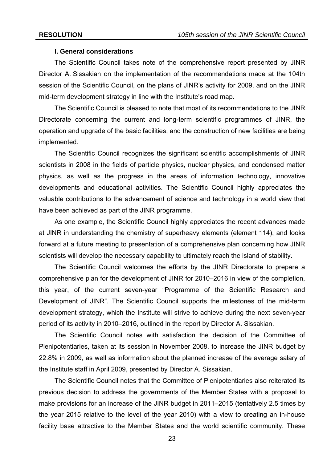## **I. General considerations**

 The Scientific Council takes note of the comprehensive report presented by JINR Director A. Sissakian on the implementation of the recommendations made at the 104th session of the Scientific Council, on the plans of JINR's activity for 2009, and on the JINR mid-term development strategy in line with the Institute's road map.

The Scientific Council is pleased to note that most of its recommendations to the JINR Directorate concerning the current and long-term scientific programmes of JINR, the operation and upgrade of the basic facilities, and the construction of new facilities are being implemented.

The Scientific Council recognizes the significant scientific accomplishments of JINR scientists in 2008 in the fields of particle physics, nuclear physics, and condensed matter physics, as well as the progress in the areas of information technology, innovative developments and educational activities. The Scientific Council highly appreciates the valuable contributions to the advancement of science and technology in a world view that have been achieved as part of the JINR programme.

As one example, the Scientific Council highly appreciates the recent advances made at JINR in understanding the chemistry of superheavy elements (element 114), and looks forward at a future meeting to presentation of a comprehensive plan concerning how JINR scientists will develop the necessary capability to ultimately reach the island of stability.

The Scientific Council welcomes the efforts by the JINR Directorate to prepare a comprehensive plan for the development of JINR for 2010–2016 in view of the completion, this year, of the current seven-year "Programme of the Scientific Research and Development of JINR". The Scientific Council supports the milestones of the mid-term development strategy, which the Institute will strive to achieve during the next seven-year period of its activity in 2010–2016, outlined in the report by Director A. Sissakian.

The Scientific Council notes with satisfaction the decision of the Committee of Plenipotentiaries, taken at its session in November 2008, to increase the JINR budget by 22.8% in 2009, as well as information about the planned increase of the average salary of the Institute staff in April 2009, presented by Director A. Sissakian.

The Scientific Council notes that the Committee of Plenipotentiaries also reiterated its previous decision to address the governments of the Member States with a proposal to make provisions for an increase of the JINR budget in 2011–2015 (tentatively 2.5 times by the year 2015 relative to the level of the year 2010) with a view to creating an in-house facility base attractive to the Member States and the world scientific community. These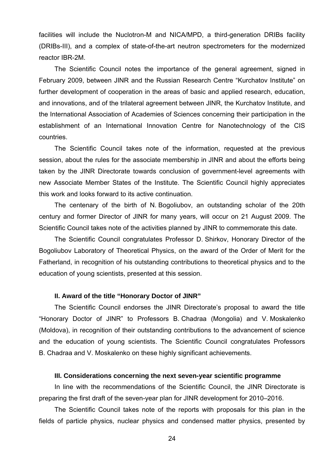facilities will include the Nuclotron-М and NICA/MPD, a third-generation DRIBs facility (DRIBs-III), and a complex of state-of-the-art neutron spectrometers for the modernized reactor IBR-2M.

The Scientific Council notes the importance of the general agreement, signed in February 2009, between JINR and the Russian Research Centre "Kurchatov Institute" on further development of cooperation in the areas of basic and applied research, education, and innovations, and of the trilateral agreement between JINR, the Kurchatov Institute, and the International Association of Academies of Sciences concerning their participation in the establishment of an International Innovation Centre for Nanotechnology of the CIS countries.

 The Scientific Council takes note of the information, requested at the previous session, about the rules for the associate membership in JINR and about the efforts being taken by the JINR Directorate towards conclusion of government-level agreements with new Associate Member States of the Institute. The Scientific Council highly appreciates this work and looks forward to its active continuation.

 The centenary of the birth of N. Bogoliubov, an outstanding scholar of the 20th century and former Director of JINR for many years, will occur on 21 August 2009. The Scientific Council takes note of the activities planned by JINR to commemorate this date.

 The Scientific Council congratulates Professor D. Shirkov, Honorary Director of the Bogoliubov Laboratory of Theoretical Physics, on the award of the Order of Merit for the Fatherland, in recognition of his outstanding contributions to theoretical physics and to the education of young scientists, presented at this session.

## **II. Award of the title "Honorary Doctor of JINR"**

The Scientific Council endorses the JINR Directorate's proposal to award the title "Honorary Doctor of JINR" to Professors B. Chadraa (Mongolia) and V. Moskalenko (Moldova), in recognition of their outstanding contributions to the advancement of science and the education of young scientists. The Scientific Council congratulates Professors B. Chadraa and V. Moskalenko on these highly significant achievements.

### **III. Considerations concerning the next seven-year scientific programme**

In line with the recommendations of the Scientific Council, the JINR Directorate is preparing the first draft of the seven-year plan for JINR development for 2010–2016.

 The Scientific Council takes note of the reports with proposals for this plan in the fields of particle physics, nuclear physics and condensed matter physics, presented by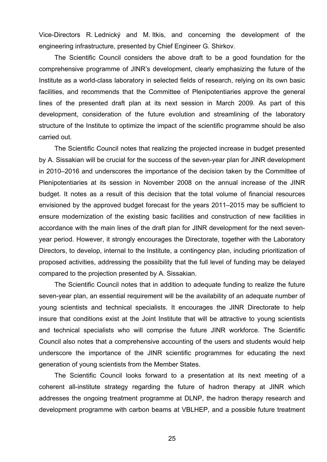Vice-Directors R. Lednický and M. Itkis, and concerning the development of the engineering infrastructure, presented by Chief Engineer G. Shirkov.

The Scientific Council considers the above draft to be a good foundation for the comprehensive programme of JINR's development, clearly emphasizing the future of the Institute as a world-class laboratory in selected fields of research, relying on its own basic facilities, and recommends that the Committee of Plenipotentiaries approve the general lines of the presented draft plan at its next session in March 2009. As part of this development, consideration of the future evolution and streamlining of the laboratory structure of the Institute to optimize the impact of the scientific programme should be also carried out.

The Scientific Council notes that realizing the projected increase in budget presented by A. Sissakian will be crucial for the success of the seven-year plan for JINR development in 2010–2016 and underscores the importance of the decision taken by the Committee of Plenipotentiaries at its session in November 2008 on the annual increase of the JINR budget. It notes as a result of this decision that the total volume of financial resources envisioned by the approved budget forecast for the years 2011–2015 may be sufficient to ensure modernization of the existing basic facilities and construction of new facilities in accordance with the main lines of the draft plan for JINR development for the next sevenyear period. However, it strongly encourages the Directorate, together with the Laboratory Directors, to develop, internal to the Institute, a contingency plan, including prioritization of proposed activities, addressing the possibility that the full level of funding may be delayed compared to the projection presented by A. Sissakian.

The Scientific Council notes that in addition to adequate funding to realize the future seven-year plan, an essential requirement will be the availability of an adequate number of young scientists and technical specialists. It encourages the JINR Directorate to help insure that conditions exist at the Joint Institute that will be attractive to young scientists and technical specialists who will comprise the future JINR workforce. The Scientific Council also notes that a comprehensive accounting of the users and students would help underscore the importance of the JINR scientific programmes for educating the next generation of young scientists from the Member States.

The Scientific Council looks forward to a presentation at its next meeting of a coherent all-institute strategy regarding the future of hadron therapy at JINR which addresses the ongoing treatment programme at DLNP, the hadron therapy research and development programme with carbon beams at VBLHEP, and a possible future treatment

25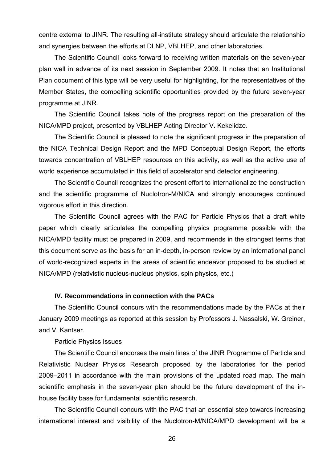centre external to JINR. The resulting all-institute strategy should articulate the relationship and synergies between the efforts at DLNP, VBLHEP, and other laboratories.

The Scientific Council looks forward to receiving written materials on the seven-year plan well in advance of its next session in September 2009. It notes that an Institutional Plan document of this type will be very useful for highlighting, for the representatives of the Member States, the compelling scientific opportunities provided by the future seven-year programme at JINR.

The Scientific Council takes note of the progress report on the preparation of the NICA/MPD project, presented by VBLHEP Acting Director V. Kekelidze.

The Scientific Council is pleased to note the significant progress in the preparation of the NICA Technical Design Report and the MPD Conceptual Design Report, the efforts towards concentration of VBLHEP resources on this activity, as well as the active use of world experience accumulated in this field of accelerator and detector engineering.

The Scientific Council recognizes the present effort to internationalize the construction and the scientific programme of Nuclotron-M/NICA and strongly encourages continued vigorous effort in this direction.

The Scientific Council agrees with the PAC for Particle Physics that a draft white paper which clearly articulates the compelling physics programme possible with the NICA/MPD facility must be prepared in 2009, and recommends in the strongest terms that this document serve as the basis for an in-depth, in-person review by an international panel of world-recognized experts in the areas of scientific endeavor proposed to be studied at NICA/MPD (relativistic nucleus-nucleus physics, spin physics, etc.)

## **IV. Recommendations in connection with the PACs**

The Scientific Council concurs with the recommendations made by the PACs at their January 2009 meetings as reported at this session by Professors J. Nassalski, W. Greiner, and V. Kantser.

### Particle Physics Issues

The Scientific Council endorses the main lines of the JINR Programme of Particle and Relativistic Nuclear Physics Research proposed by the laboratories for the period 2009–2011 in accordance with the main provisions of the updated road map. The main scientific emphasis in the seven-year plan should be the future development of the inhouse facility base for fundamental scientific research.

The Scientific Council concurs with the PAC that an essential step towards increasing international interest and visibility of the Nuclotron-M/NICA/MPD development will be a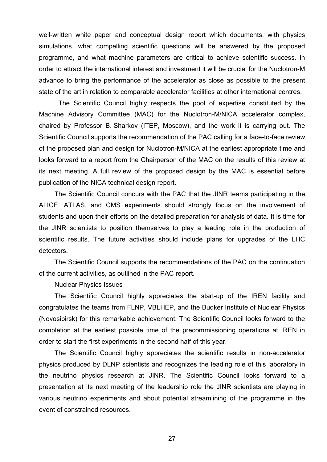well-written white paper and conceptual design report which documents, with physics simulations, what compelling scientific questions will be answered by the proposed programme, and what machine parameters are critical to achieve scientific success. In order to attract the international interest and investment it will be crucial for the Nuclotron-M advance to bring the performance of the accelerator as close as possible to the present state of the art in relation to comparable accelerator facilities at other international centres.

The Scientific Council highly respects the pool of expertise constituted by the Machine Advisory Committee (MAC) for the Nuclotron-M/NICA accelerator complex, chaired by Professor B. Sharkov (ITEP, Moscow), and the work it is carrying out. The Scientific Council supports the recommendation of the PAC calling for a face-to-face review of the proposed plan and design for Nuclotron-M/NICA at the earliest appropriate time and looks forward to a report from the Chairperson of the MAC on the results of this review at its next meeting. A full review of the proposed design by the MAC is essential before publication of the NICA technical design report.

 The Scientific Council concurs with the PAC that the JINR teams participating in the ALICE, ATLAS, and CMS experiments should strongly focus on the involvement of students and upon their efforts on the detailed preparation for analysis of data. It is time for the JINR scientists to position themselves to play a leading role in the production of scientific results. The future activities should include plans for upgrades of the LHC detectors.

The Scientific Council supports the recommendations of the PAC on the continuation of the current activities, as outlined in the PAC report.

### Nuclear Physics Issues

 The Scientific Council highly appreciates the start-up of the IREN facility and congratulates the teams from FLNP, VBLHEP, and the Budker Institute of Nuclear Physics (Novosibirsk) for this remarkable achievement. The Scientific Council looks forward to the completion at the earliest possible time of the precommissioning operations at IREN in order to start the first experiments in the second half of this year.

 The Scientific Council highly appreciates the scientific results in non-accelerator physics produced by DLNP scientists and recognizes the leading role of this laboratory in the neutrino physics research at JINR. The Scientific Council looks forward to a presentation at its next meeting of the leadership role the JINR scientists are playing in various neutrino experiments and about potential streamlining of the programme in the event of constrained resources.

27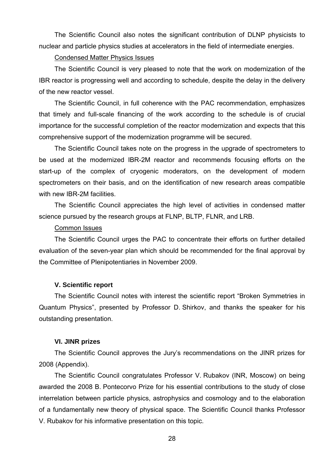The Scientific Council also notes the significant contribution of DLNP physicists to nuclear and particle physics studies at accelerators in the field of intermediate energies.

# Condensed Matter Physics Issues

The Scientific Council is very pleased to note that the work on modernization of the IBR reactor is progressing well and according to schedule, despite the delay in the delivery of the new reactor vessel.

The Scientific Council, in full coherence with the PAC recommendation, emphasizes that timely and full-scale financing of the work according to the schedule is of crucial importance for the successful completion of the reactor modernization and expects that this comprehensive support of the modernization programme will be secured.

The Scientific Council takes note on the progress in the upgrade of spectrometers to be used at the modernized IBR-2M reactor and recommends focusing efforts on the start-up of the complex of cryogenic moderators, on the development of modern spectrometers on their basis, and on the identification of new research areas compatible with new IBR-2M facilities.

The Scientific Council appreciates the high level of activities in condensed matter science pursued by the research groups at FLNP, BLTP, FLNR, and LRB.

### Common Issues

The Scientific Council urges the PAC to concentrate their efforts on further detailed evaluation of the seven-year plan which should be recommended for the final approval by the Committee of Plenipotentiaries in November 2009.

## **V. Scientific report**

The Scientific Council notes with interest the scientific report "Broken Symmetries in Quantum Physics", presented by Professor D. Shirkov, and thanks the speaker for his outstanding presentation.

### **VI. JINR prizes**

The Scientific Council approves the Jury's recommendations on the JINR prizes for 2008 (Appendix).

The Scientific Council congratulates Professor V. Rubakov (INR, Moscow) on being awarded the 2008 B. Pontecorvo Prize for his essential contributions to the study of close interrelation between particle physics, astrophysics and cosmology and to the elaboration of a fundamentally new theory of physical space. The Scientific Council thanks Professor V. Rubakov for his informative presentation on this topic.